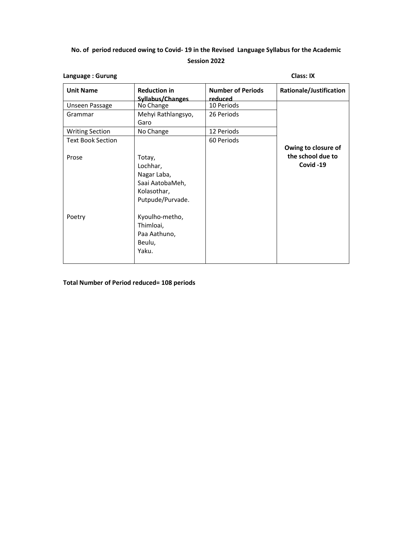## **No. of period reduced owing to Covid- 19 in the Revised Language Syllabus for the Academic Session 2022**

| Language: Gurung         |                                                                                         |                                     | <b>Class: IX</b>               |  |
|--------------------------|-----------------------------------------------------------------------------------------|-------------------------------------|--------------------------------|--|
| <b>Unit Name</b>         | <b>Reduction in</b><br>Syllabus/Changes                                                 | <b>Number of Periods</b><br>reduced | Rationale/Justification        |  |
| Unseen Passage           | No Change                                                                               | 10 Periods                          |                                |  |
| Grammar                  | Mehyi Rathlangsyo,<br>Garo                                                              | 26 Periods                          |                                |  |
| <b>Writing Section</b>   | No Change                                                                               | 12 Periods                          |                                |  |
| <b>Text Book Section</b> |                                                                                         | 60 Periods                          | Owing to closure of            |  |
| Prose                    | Totay,<br>Lochhar,<br>Nagar Laba,<br>Saai AatobaMeh,<br>Kolasothar,<br>Putpude/Purvade. |                                     | the school due to<br>Covid -19 |  |
| Poetry                   | Kyoulho-metho,<br>Thimloai,<br>Paa Aathuno,<br>Beulu,<br>Yaku.                          |                                     |                                |  |

#### **Total Number of Period reduced= 108 periods**